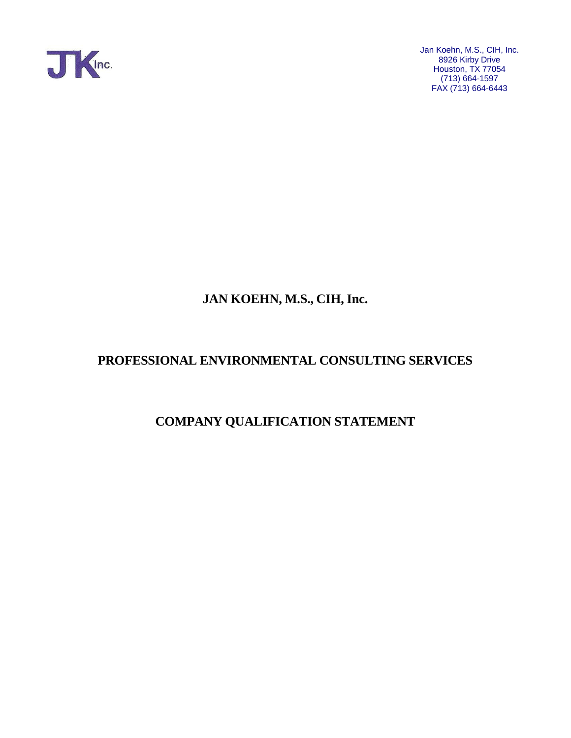

# **JAN KOEHN, M.S., CIH, Inc.**

## **PROFESSIONAL ENVIRONMENTAL CONSULTING SERVICES**

## **COMPANY QUALIFICATION STATEMENT**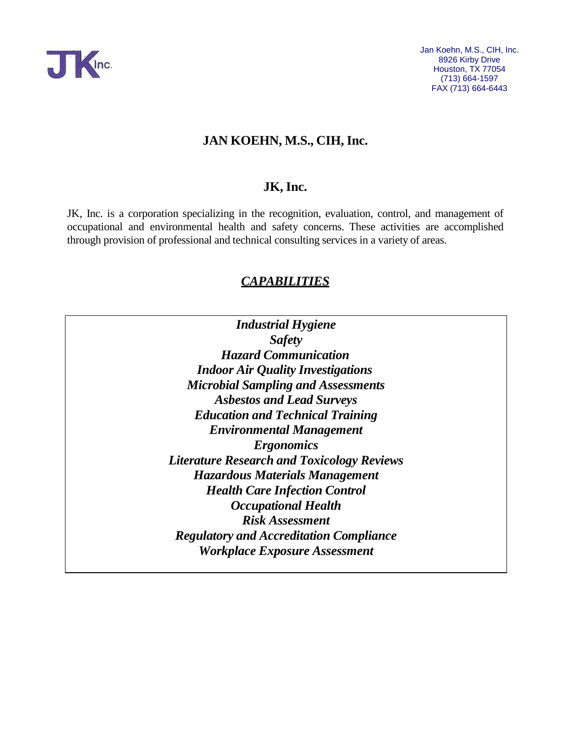

## **JAN KOEHN, M.S., CIH, Inc.**

## **JK, Inc.**

JK, Inc. is a corporation specializing in the recognition, evaluation, control, and management of occupational and environmental health and safety concerns. These activities are accomplished through provision of professional and technical consulting services in a variety of areas.

## *CAPABILITIES*

*Industrial Hygiene Safety Hazard Communication Indoor Air Quality Investigations Microbial Sampling and Assessments Asbestos and Lead Surveys Education and Technical Training Environmental Management Ergonomics Literature Research and Toxicology Reviews Hazardous Materials Management Health Care Infection Control Occupational Health Risk Assessment Regulatory and Accreditation Compliance Workplace Exposure Assessment*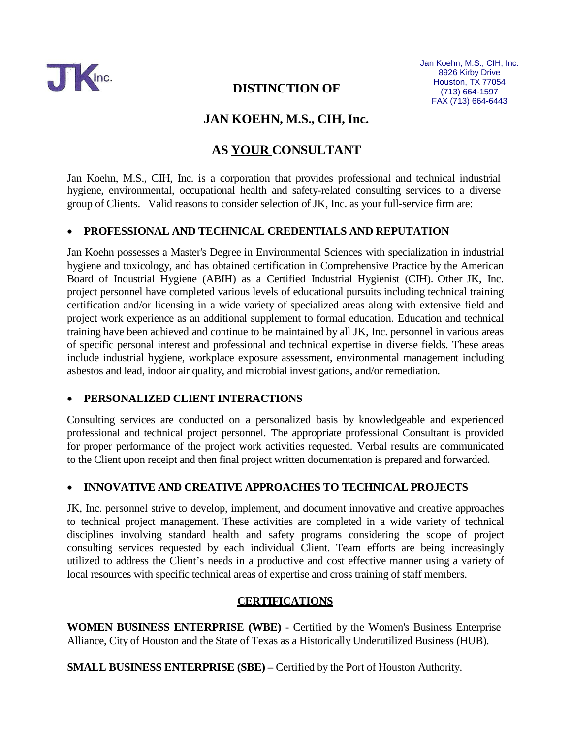

## **JAN KOEHN, M.S., CIH, Inc.**

## **AS YOUR CONSULTANT**

Jan Koehn, M.S., CIH, Inc. is a corporation that provides professional and technical industrial hygiene, environmental, occupational health and safety-related consulting services to a diverse group of Clients. Valid reasons to consider selection of JK, Inc. as your full-service firm are:

#### • **PROFESSIONAL AND TECHNICAL CREDENTIALS AND REPUTATION**

Jan Koehn possesses a Master's Degree in Environmental Sciences with specialization in industrial hygiene and toxicology, and has obtained certification in Comprehensive Practice by the American Board of Industrial Hygiene (ABIH) as a Certified Industrial Hygienist (CIH). Other JK, Inc. project personnel have completed various levels of educational pursuits including technical training certification and/or licensing in a wide variety of specialized areas along with extensive field and project work experience as an additional supplement to formal education. Education and technical training have been achieved and continue to be maintained by all JK, Inc. personnel in various areas of specific personal interest and professional and technical expertise in diverse fields. These areas include industrial hygiene, workplace exposure assessment, environmental management including asbestos and lead, indoor air quality, and microbial investigations, and/or remediation.

#### • **PERSONALIZED CLIENT INTERACTIONS**

Consulting services are conducted on a personalized basis by knowledgeable and experienced professional and technical project personnel. The appropriate professional Consultant is provided for proper performance of the project work activities requested. Verbal results are communicated to the Client upon receipt and then final project written documentation is prepared and forwarded.

### • **INNOVATIVE AND CREATIVE APPROACHES TO TECHNICAL PROJECTS**

JK, Inc. personnel strive to develop, implement, and document innovative and creative approaches to technical project management. These activities are completed in a wide variety of technical disciplines involving standard health and safety programs considering the scope of project consulting services requested by each individual Client. Team efforts are being increasingly utilized to address the Client's needs in a productive and cost effective manner using a variety of local resources with specific technical areas of expertise and cross training of staff members.

#### **CERTIFICATIONS**

**WOMEN BUSINESS ENTERPRISE (WBE)** - Certified by the Women's Business Enterprise Alliance, City of Houston and the State of Texas as a Historically Underutilized Business (HUB).

**SMALL BUSINESS ENTERPRISE (SBE) –** Certified by the Port of Houston Authority.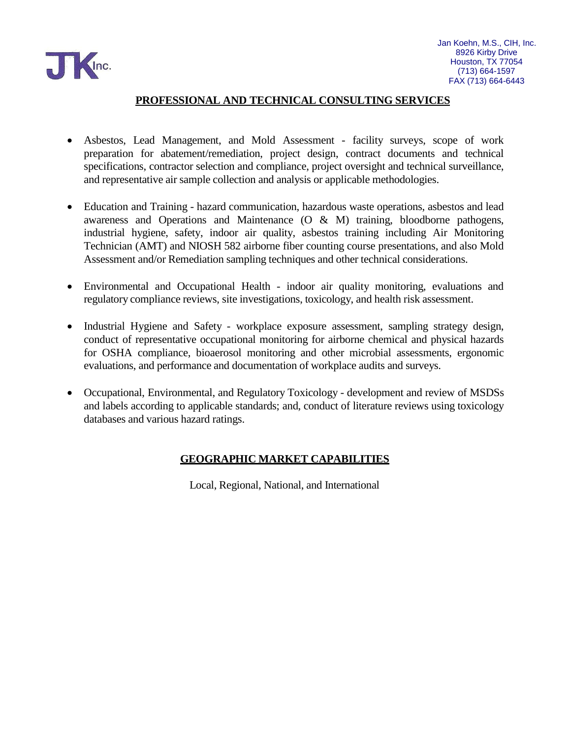

### **PROFESSIONAL AND TECHNICAL CONSULTING SERVICES**

- Asbestos, Lead Management, and Mold Assessment facility surveys, scope of work preparation for abatement/remediation, project design, contract documents and technical specifications, contractor selection and compliance, project oversight and technical surveillance, and representative air sample collection and analysis or applicable methodologies.
- Education and Training hazard communication, hazardous waste operations, asbestos and lead awareness and Operations and Maintenance (O & M) training, bloodborne pathogens, industrial hygiene, safety, indoor air quality, asbestos training including Air Monitoring Technician (AMT) and NIOSH 582 airborne fiber counting course presentations, and also Mold Assessment and/or Remediation sampling techniques and other technical considerations.
- Environmental and Occupational Health indoor air quality monitoring, evaluations and regulatory compliance reviews, site investigations, toxicology, and health risk assessment.
- Industrial Hygiene and Safety workplace exposure assessment, sampling strategy design, conduct of representative occupational monitoring for airborne chemical and physical hazards for OSHA compliance, bioaerosol monitoring and other microbial assessments, ergonomic evaluations, and performance and documentation of workplace audits and surveys.
- Occupational, Environmental, and Regulatory Toxicology development and review of MSDSs and labels according to applicable standards; and, conduct of literature reviews using toxicology databases and various hazard ratings.

### **GEOGRAPHIC MARKET CAPABILITIES**

Local, Regional, National, and International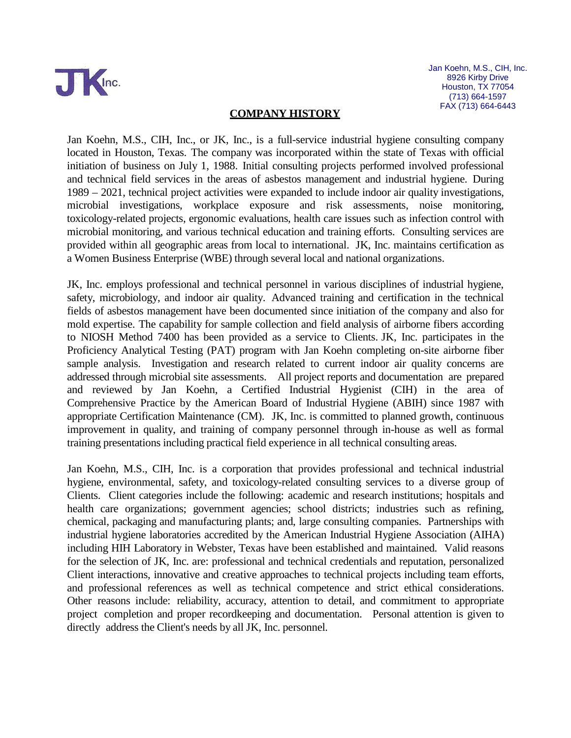

#### **COMPANY HISTORY**

Jan Koehn, M.S., CIH, Inc., or JK, Inc., is a full-service industrial hygiene consulting company located in Houston, Texas. The company was incorporated within the state of Texas with official initiation of business on July 1, 1988. Initial consulting projects performed involved professional and technical field services in the areas of asbestos management and industrial hygiene. During 1989 – 2021, technical project activities were expanded to include indoor air quality investigations, microbial investigations, workplace exposure and risk assessments, noise monitoring, toxicology-related projects, ergonomic evaluations, health care issues such as infection control with microbial monitoring, and various technical education and training efforts. Consulting services are provided within all geographic areas from local to international. JK, Inc. maintains certification as a Women Business Enterprise (WBE) through several local and national organizations.

JK, Inc. employs professional and technical personnel in various disciplines of industrial hygiene, safety, microbiology, and indoor air quality. Advanced training and certification in the technical fields of asbestos management have been documented since initiation of the company and also for mold expertise. The capability for sample collection and field analysis of airborne fibers according to NIOSH Method 7400 has been provided as a service to Clients. JK, Inc. participates in the Proficiency Analytical Testing (PAT) program with Jan Koehn completing on-site airborne fiber sample analysis. Investigation and research related to current indoor air quality concerns are addressed through microbial site assessments. All project reports and documentation are prepared and reviewed by Jan Koehn, a Certified Industrial Hygienist (CIH) in the area of Comprehensive Practice by the American Board of Industrial Hygiene (ABIH) since 1987 with appropriate Certification Maintenance (CM). JK, Inc. is committed to planned growth, continuous improvement in quality, and training of company personnel through in-house as well as formal training presentations including practical field experience in all technical consulting areas.

Jan Koehn, M.S., CIH, Inc. is a corporation that provides professional and technical industrial hygiene, environmental, safety, and toxicology-related consulting services to a diverse group of Clients. Client categories include the following: academic and research institutions; hospitals and health care organizations; government agencies; school districts; industries such as refining, chemical, packaging and manufacturing plants; and, large consulting companies. Partnerships with industrial hygiene laboratories accredited by the American Industrial Hygiene Association (AIHA) including HIH Laboratory in Webster, Texas have been established and maintained. Valid reasons for the selection of JK, Inc. are: professional and technical credentials and reputation, personalized Client interactions, innovative and creative approaches to technical projects including team efforts, and professional references as well as technical competence and strict ethical considerations. Other reasons include: reliability, accuracy, attention to detail, and commitment to appropriate project completion and proper recordkeeping and documentation. Personal attention is given to directly address the Client's needs by all JK, Inc. personnel.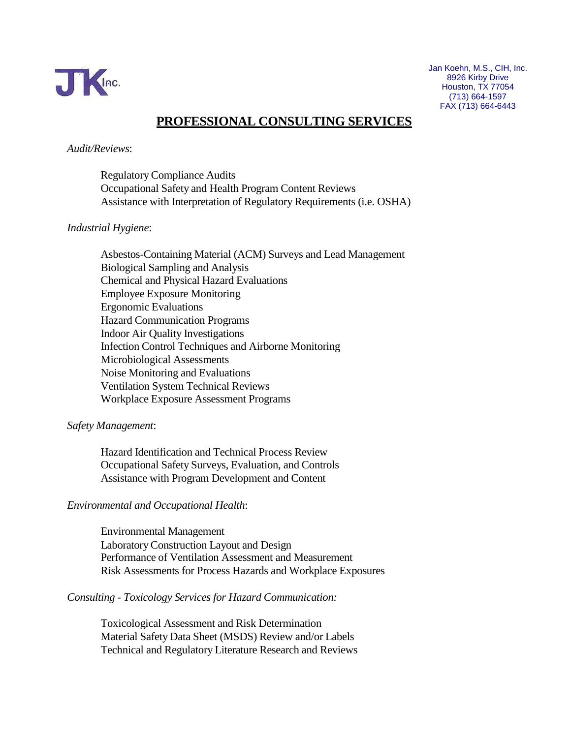

## **PROFESSIONAL CONSULTING SERVICES**

#### *Audit/Reviews*:

RegulatoryCompliance Audits Occupational Safety and Health Program Content Reviews Assistance with Interpretation of Regulatory Requirements (i.e. OSHA)

#### *Industrial Hygiene*:

Asbestos-Containing Material (ACM) Surveys and Lead Management Biological Sampling and Analysis Chemical and Physical Hazard Evaluations Employee Exposure Monitoring Ergonomic Evaluations Hazard Communication Programs Indoor Air Quality Investigations Infection Control Techniques and Airborne Monitoring Microbiological Assessments Noise Monitoring and Evaluations Ventilation System Technical Reviews Workplace Exposure Assessment Programs

#### *Safety Management*:

Hazard Identification and Technical Process Review Occupational Safety Surveys, Evaluation, and Controls Assistance with Program Development and Content

#### *Environmental and Occupational Health*:

Environmental Management LaboratoryConstruction Layout and Design Performance of Ventilation Assessment and Measurement Risk Assessments for Process Hazards and Workplace Exposures

#### *Consulting - Toxicology Services for Hazard Communication:*

Toxicological Assessment and Risk Determination Material Safety Data Sheet (MSDS) Review and/or Labels Technical and Regulatory Literature Research and Reviews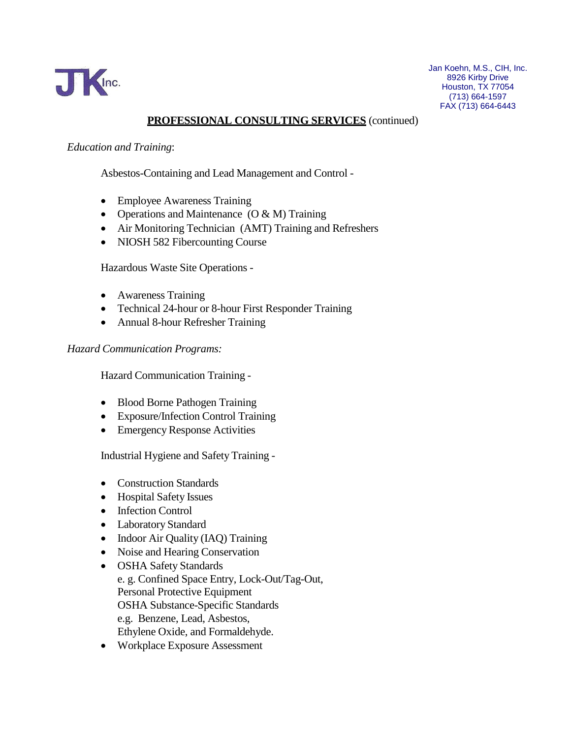

## **PROFESSIONAL CONSULTING SERVICES** (continued)

#### *Education and Training*:

Asbestos-Containing and Lead Management and Control -

- Employee Awareness Training
- Operations and Maintenance (O & M) Training
- Air Monitoring Technician (AMT) Training and Refreshers
- NIOSH 582 Fibercounting Course

Hazardous Waste Site Operations -

- Awareness Training
- Technical 24-hour or 8-hour First Responder Training
- Annual 8-hour Refresher Training

#### *Hazard Communication Programs:*

Hazard Communication Training -

- Blood Borne Pathogen Training
- Exposure/Infection Control Training
- Emergency Response Activities

Industrial Hygiene and Safety Training -

- Construction Standards
- Hospital Safety Issues
- Infection Control
- Laboratory Standard
- Indoor Air Quality (IAQ) Training
- Noise and Hearing Conservation
- OSHA Safety Standards e. g. Confined Space Entry, Lock-Out/Tag-Out, Personal Protective Equipment OSHA Substance-Specific Standards e.g. Benzene, Lead, Asbestos, Ethylene Oxide, and Formaldehyde.
- Workplace Exposure Assessment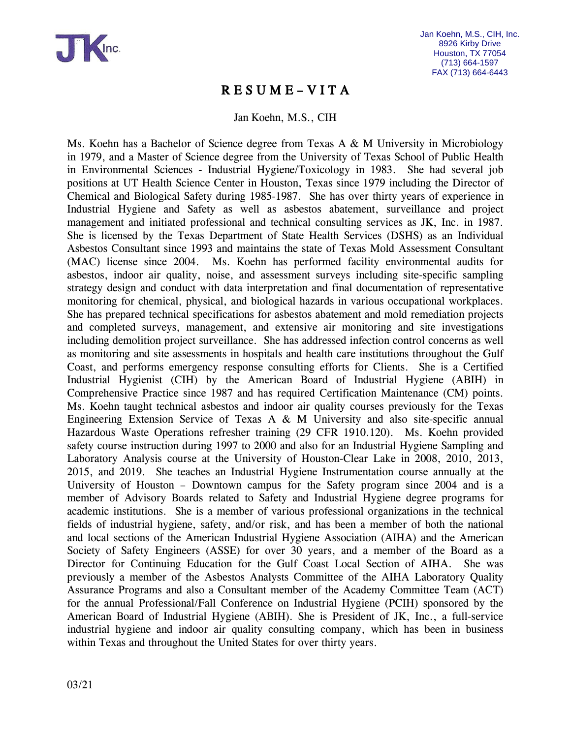

## R E S U M E – V I T A

Jan Koehn, M.S., CIH

Ms. Koehn has a Bachelor of Science degree from Texas A & M University in Microbiology in 1979, and a Master of Science degree from the University of Texas School of Public Health in Environmental Sciences - Industrial Hygiene/Toxicology in 1983. She had several job positions at UT Health Science Center in Houston, Texas since 1979 including the Director of Chemical and Biological Safety during 1985-1987. She has over thirty years of experience in Industrial Hygiene and Safety as well as asbestos abatement, surveillance and project management and initiated professional and technical consulting services as JK, Inc. in 1987. She is licensed by the Texas Department of State Health Services (DSHS) as an Individual Asbestos Consultant since 1993 and maintains the state of Texas Mold Assessment Consultant (MAC) license since 2004. Ms. Koehn has performed facility environmental audits for asbestos, indoor air quality, noise, and assessment surveys including site-specific sampling strategy design and conduct with data interpretation and final documentation of representative monitoring for chemical, physical, and biological hazards in various occupational workplaces. She has prepared technical specifications for asbestos abatement and mold remediation projects and completed surveys, management, and extensive air monitoring and site investigations including demolition project surveillance. She has addressed infection control concerns as well as monitoring and site assessments in hospitals and health care institutions throughout the Gulf Coast, and performs emergency response consulting efforts for Clients. She is a Certified Industrial Hygienist (CIH) by the American Board of Industrial Hygiene (ABIH) in Comprehensive Practice since 1987 and has required Certification Maintenance (CM) points. Ms. Koehn taught technical asbestos and indoor air quality courses previously for the Texas Engineering Extension Service of Texas A & M University and also site-specific annual Hazardous Waste Operations refresher training (29 CFR 1910.120). Ms. Koehn provided safety course instruction during 1997 to 2000 and also for an Industrial Hygiene Sampling and Laboratory Analysis course at the University of Houston-Clear Lake in 2008, 2010, 2013, 2015, and 2019. She teaches an Industrial Hygiene Instrumentation course annually at the University of Houston – Downtown campus for the Safety program since 2004 and is a member of Advisory Boards related to Safety and Industrial Hygiene degree programs for academic institutions. She is a member of various professional organizations in the technical fields of industrial hygiene, safety, and/or risk, and has been a member of both the national and local sections of the American Industrial Hygiene Association (AIHA) and the American Society of Safety Engineers (ASSE) for over 30 years, and a member of the Board as a Director for Continuing Education for the Gulf Coast Local Section of AIHA. She was previously a member of the Asbestos Analysts Committee of the AIHA Laboratory Quality Assurance Programs and also a Consultant member of the Academy Committee Team (ACT) for the annual Professional/Fall Conference on Industrial Hygiene (PCIH) sponsored by the American Board of Industrial Hygiene (ABIH). She is President of JK, Inc., a full-service industrial hygiene and indoor air quality consulting company, which has been in business within Texas and throughout the United States for over thirty years.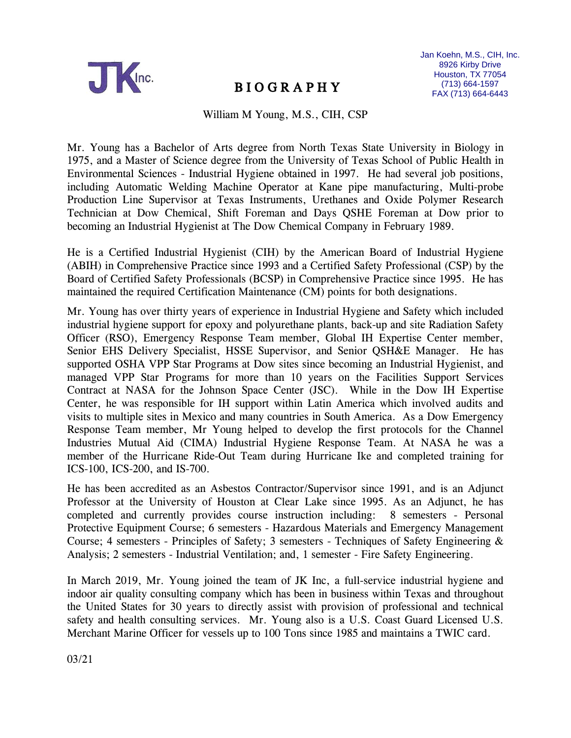

# B I O G R A P H Y

William M Young, M.S., CIH, CSP

Mr. Young has a Bachelor of Arts degree from North Texas State University in Biology in 1975, and a Master of Science degree from the University of Texas School of Public Health in Environmental Sciences - Industrial Hygiene obtained in 1997. He had several job positions, including Automatic Welding Machine Operator at Kane pipe manufacturing, Multi-probe Production Line Supervisor at Texas Instruments, Urethanes and Oxide Polymer Research Technician at Dow Chemical, Shift Foreman and Days QSHE Foreman at Dow prior to becoming an Industrial Hygienist at The Dow Chemical Company in February 1989.

He is a Certified Industrial Hygienist (CIH) by the American Board of Industrial Hygiene (ABIH) in Comprehensive Practice since 1993 and a Certified Safety Professional (CSP) by the Board of Certified Safety Professionals (BCSP) in Comprehensive Practice since 1995. He has maintained the required Certification Maintenance (CM) points for both designations.

Mr. Young has over thirty years of experience in Industrial Hygiene and Safety which included industrial hygiene support for epoxy and polyurethane plants, back-up and site Radiation Safety Officer (RSO), Emergency Response Team member, Global IH Expertise Center member, Senior EHS Delivery Specialist, HSSE Supervisor, and Senior QSH&E Manager. He has supported OSHA VPP Star Programs at Dow sites since becoming an Industrial Hygienist, and managed VPP Star Programs for more than 10 years on the Facilities Support Services Contract at NASA for the Johnson Space Center (JSC). While in the Dow IH Expertise Center, he was responsible for IH support within Latin America which involved audits and visits to multiple sites in Mexico and many countries in South America. As a Dow Emergency Response Team member, Mr Young helped to develop the first protocols for the Channel Industries Mutual Aid (CIMA) Industrial Hygiene Response Team. At NASA he was a member of the Hurricane Ride-Out Team during Hurricane Ike and completed training for ICS-100, ICS-200, and IS-700.

He has been accredited as an Asbestos Contractor/Supervisor since 1991, and is an Adjunct Professor at the University of Houston at Clear Lake since 1995. As an Adjunct, he has completed and currently provides course instruction including: 8 semesters - Personal Protective Equipment Course; 6 semesters - Hazardous Materials and Emergency Management Course; 4 semesters - Principles of Safety; 3 semesters - Techniques of Safety Engineering & Analysis; 2 semesters - Industrial Ventilation; and, 1 semester - Fire Safety Engineering.

In March 2019, Mr. Young joined the team of JK Inc, a full-service industrial hygiene and indoor air quality consulting company which has been in business within Texas and throughout the United States for 30 years to directly assist with provision of professional and technical safety and health consulting services. Mr. Young also is a U.S. Coast Guard Licensed U.S. Merchant Marine Officer for vessels up to 100 Tons since 1985 and maintains a TWIC card.

03/21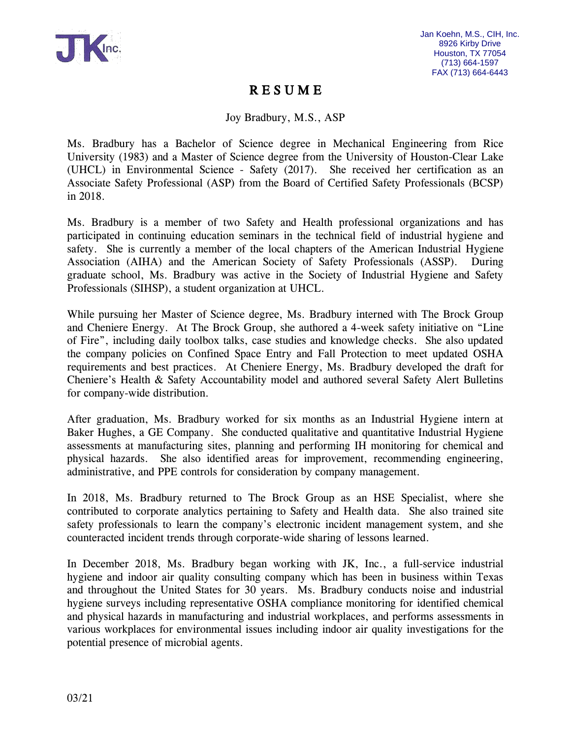

## R E S U M E

Joy Bradbury, M.S., ASP

Ms. Bradbury has a Bachelor of Science degree in Mechanical Engineering from Rice University (1983) and a Master of Science degree from the University of Houston-Clear Lake (UHCL) in Environmental Science - Safety (2017). She received her certification as an Associate Safety Professional (ASP) from the Board of Certified Safety Professionals (BCSP) in 2018.

Ms. Bradbury is a member of two Safety and Health professional organizations and has participated in continuing education seminars in the technical field of industrial hygiene and safety. She is currently a member of the local chapters of the American Industrial Hygiene Association (AIHA) and the American Society of Safety Professionals (ASSP). During graduate school, Ms. Bradbury was active in the Society of Industrial Hygiene and Safety Professionals (SIHSP), a student organization at UHCL.

While pursuing her Master of Science degree, Ms. Bradbury interned with The Brock Group and Cheniere Energy. At The Brock Group, she authored a 4-week safety initiative on "Line of Fire", including daily toolbox talks, case studies and knowledge checks. She also updated the company policies on Confined Space Entry and Fall Protection to meet updated OSHA requirements and best practices. At Cheniere Energy, Ms. Bradbury developed the draft for Cheniere's Health & Safety Accountability model and authored several Safety Alert Bulletins for company-wide distribution.

After graduation, Ms. Bradbury worked for six months as an Industrial Hygiene intern at Baker Hughes, a GE Company. She conducted qualitative and quantitative Industrial Hygiene assessments at manufacturing sites, planning and performing IH monitoring for chemical and physical hazards. She also identified areas for improvement, recommending engineering, administrative, and PPE controls for consideration by company management.

In 2018, Ms. Bradbury returned to The Brock Group as an HSE Specialist, where she contributed to corporate analytics pertaining to Safety and Health data. She also trained site safety professionals to learn the company's electronic incident management system, and she counteracted incident trends through corporate-wide sharing of lessons learned.

In December 2018, Ms. Bradbury began working with JK, Inc., a full-service industrial hygiene and indoor air quality consulting company which has been in business within Texas and throughout the United States for 30 years. Ms. Bradbury conducts noise and industrial hygiene surveys including representative OSHA compliance monitoring for identified chemical and physical hazards in manufacturing and industrial workplaces, and performs assessments in various workplaces for environmental issues including indoor air quality investigations for the potential presence of microbial agents.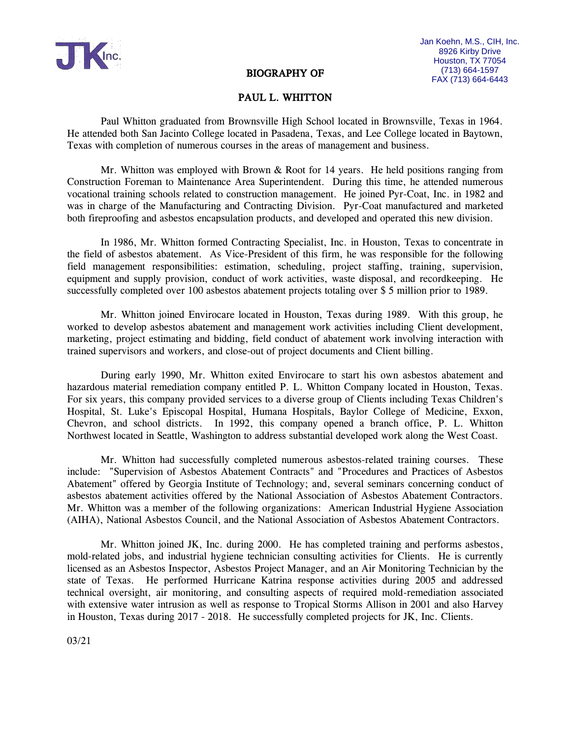

#### BIOGRAPHY OF

#### PAUL L. WHITTON

Paul Whitton graduated from Brownsville High School located in Brownsville, Texas in 1964. He attended both San Jacinto College located in Pasadena, Texas, and Lee College located in Baytown, Texas with completion of numerous courses in the areas of management and business.

Mr. Whitton was employed with Brown  $\&$  Root for 14 years. He held positions ranging from Construction Foreman to Maintenance Area Superintendent. During this time, he attended numerous vocational training schools related to construction management. He joined Pyr-Coat, Inc. in 1982 and was in charge of the Manufacturing and Contracting Division. Pyr-Coat manufactured and marketed both fireproofing and asbestos encapsulation products, and developed and operated this new division.

In 1986, Mr. Whitton formed Contracting Specialist, Inc. in Houston, Texas to concentrate in the field of asbestos abatement. As Vice-President of this firm, he was responsible for the following field management responsibilities: estimation, scheduling, project staffing, training, supervision, equipment and supply provision, conduct of work activities, waste disposal, and recordkeeping. He successfully completed over 100 asbestos abatement projects totaling over \$ 5 million prior to 1989.

Mr. Whitton joined Envirocare located in Houston, Texas during 1989. With this group, he worked to develop asbestos abatement and management work activities including Client development, marketing, project estimating and bidding, field conduct of abatement work involving interaction with trained supervisors and workers, and close-out of project documents and Client billing.

During early 1990, Mr. Whitton exited Envirocare to start his own asbestos abatement and hazardous material remediation company entitled P. L. Whitton Company located in Houston, Texas. For six years, this company provided services to a diverse group of Clients including Texas Children's Hospital, St. Luke's Episcopal Hospital, Humana Hospitals, Baylor College of Medicine, Exxon, Chevron, and school districts. In 1992, this company opened a branch office, P. L. Whitton Northwest located in Seattle, Washington to address substantial developed work along the West Coast.

Mr. Whitton had successfully completed numerous asbestos-related training courses. These include: "Supervision of Asbestos Abatement Contracts" and "Procedures and Practices of Asbestos Abatement" offered by Georgia Institute of Technology; and, several seminars concerning conduct of asbestos abatement activities offered by the National Association of Asbestos Abatement Contractors. Mr. Whitton was a member of the following organizations: American Industrial Hygiene Association (AIHA), National Asbestos Council, and the National Association of Asbestos Abatement Contractors.

Mr. Whitton joined JK, Inc. during 2000. He has completed training and performs asbestos, mold-related jobs, and industrial hygiene technician consulting activities for Clients. He is currently licensed as an Asbestos Inspector, Asbestos Project Manager, and an Air Monitoring Technician by the state of Texas. He performed Hurricane Katrina response activities during 2005 and addressed technical oversight, air monitoring, and consulting aspects of required mold-remediation associated with extensive water intrusion as well as response to Tropical Storms Allison in 2001 and also Harvey in Houston, Texas during 2017 - 2018. He successfully completed projects for JK, Inc. Clients.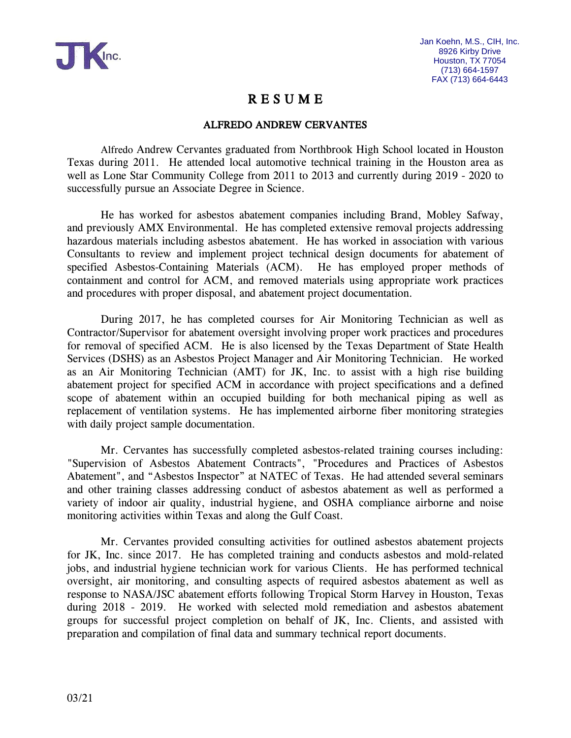

## R E S U M E

### ALFREDO ANDREW CERVANTES

Alfredo Andrew Cervantes graduated from Northbrook High School located in Houston Texas during 2011. He attended local automotive technical training in the Houston area as well as Lone Star Community College from 2011 to 2013 and currently during 2019 - 2020 to successfully pursue an Associate Degree in Science.

He has worked for asbestos abatement companies including Brand, Mobley Safway, and previously AMX Environmental. He has completed extensive removal projects addressing hazardous materials including asbestos abatement. He has worked in association with various Consultants to review and implement project technical design documents for abatement of specified Asbestos-Containing Materials (ACM). He has employed proper methods of containment and control for ACM, and removed materials using appropriate work practices and procedures with proper disposal, and abatement project documentation.

During 2017, he has completed courses for Air Monitoring Technician as well as Contractor/Supervisor for abatement oversight involving proper work practices and procedures for removal of specified ACM. He is also licensed by the Texas Department of State Health Services (DSHS) as an Asbestos Project Manager and Air Monitoring Technician. He worked as an Air Monitoring Technician (AMT) for JK, Inc. to assist with a high rise building abatement project for specified ACM in accordance with project specifications and a defined scope of abatement within an occupied building for both mechanical piping as well as replacement of ventilation systems. He has implemented airborne fiber monitoring strategies with daily project sample documentation.

Mr. Cervantes has successfully completed asbestos-related training courses including: "Supervision of Asbestos Abatement Contracts", "Procedures and Practices of Asbestos Abatement", and "Asbestos Inspector" at NATEC of Texas. He had attended several seminars and other training classes addressing conduct of asbestos abatement as well as performed a variety of indoor air quality, industrial hygiene, and OSHA compliance airborne and noise monitoring activities within Texas and along the Gulf Coast.

Mr. Cervantes provided consulting activities for outlined asbestos abatement projects for JK, Inc. since 2017. He has completed training and conducts asbestos and mold-related jobs, and industrial hygiene technician work for various Clients. He has performed technical oversight, air monitoring, and consulting aspects of required asbestos abatement as well as response to NASA/JSC abatement efforts following Tropical Storm Harvey in Houston, Texas during 2018 - 2019. He worked with selected mold remediation and asbestos abatement groups for successful project completion on behalf of JK, Inc. Clients, and assisted with preparation and compilation of final data and summary technical report documents.